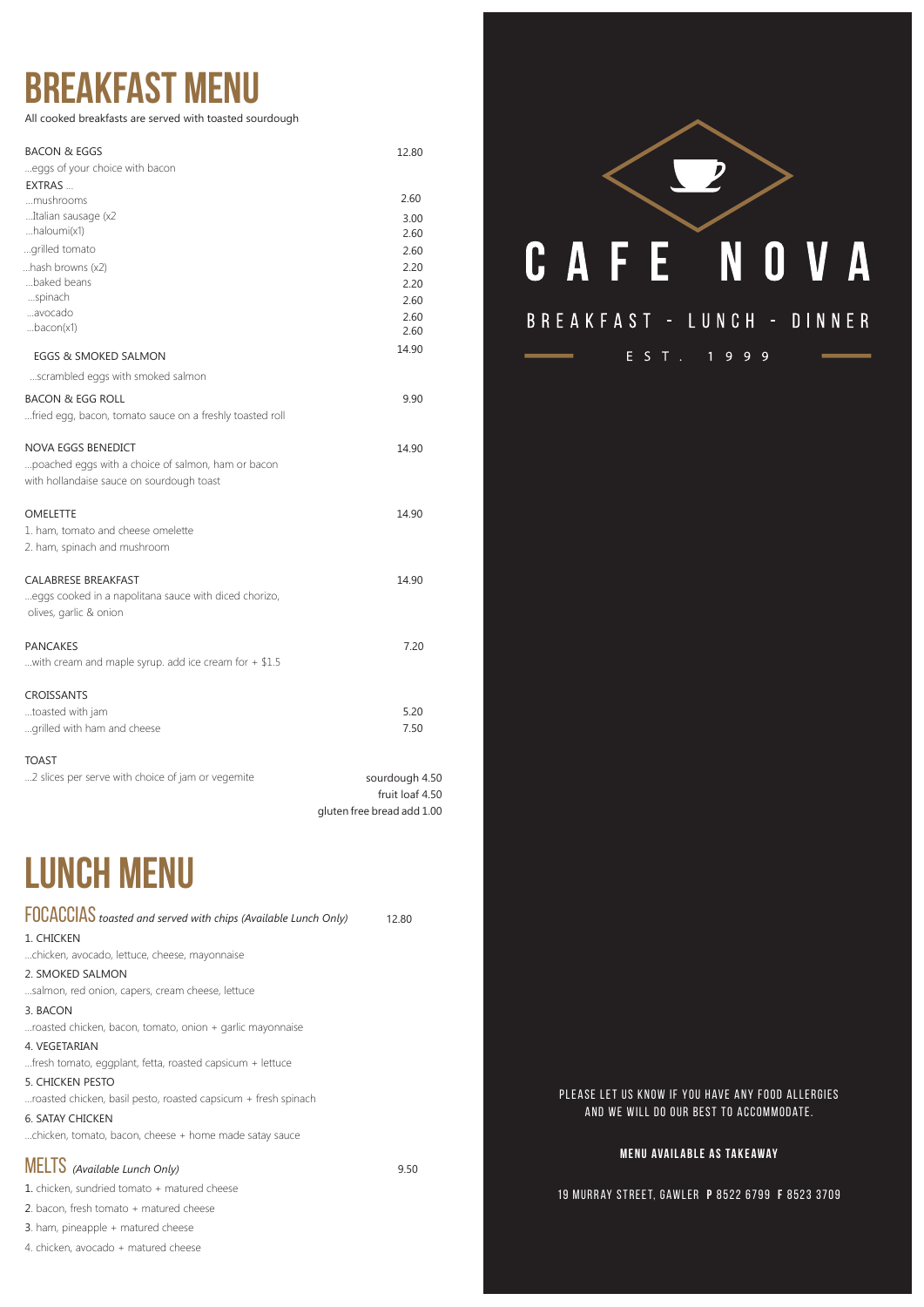# **lunch menu**

focaccias *toasted and served with chips (Available Lunch Only)* 12.8<sup>0</sup>

1. CHICKEN

...chicken, avocado, lettuce, cheese, mayonnaise

2. SMOKED SALMON



## BREAKFAST - LUNCH - DINNER

E S T . 1 9 9 9

...salmon, red onion, capers, cream cheese, lettuce

#### 3. BACON

...roasted chicken, bacon, tomato, onion + garlic mayonnaise

#### 4. VEGETARIAN

...fresh tomato, eggplant, fetta, roasted capsicum + lettuce

#### 5. CHICKEN PESTO

...roasted chicken, basil pesto, roasted capsicum + fresh spinach

#### 6. SATAY CHICKEN

...chicken, tomato, bacon, cheese + home made satay sauce

## **MELTS** *(Available Lunch Only)* 9.50

- 1. chicken, sundried tomato + matured cheese
- 2. bacon, fresh tomato + matured cheese
- 3. ham, pineapple + matured cheese
- 4. chicken, avocado + matured cheese

## **breakfast menu**

All cooked breakfasts are served with toasted sourdough

#### PLEASE LET US KNOW IF YOU HAVE ANY FOOD ALLERGIES and we will do our best to accommodate .

| <b>BACON &amp; EGGS</b>                                  | 12.80                      |
|----------------------------------------------------------|----------------------------|
| eggs of your choice with bacon                           |                            |
| EXTRAS                                                   |                            |
| mushrooms                                                | 2.60                       |
| Italian sausage (x2                                      | 3.00                       |
| haloumi(x1)                                              | 2.60                       |
| grilled tomato                                           | 2.60                       |
| hash browns (x2)                                         | 2.20                       |
| baked beans                                              | 2.20                       |
| spinach                                                  | 2.60                       |
| avocado<br>bacon(x1)                                     | 2.60                       |
|                                                          | 2.60                       |
| EGGS & SMOKED SALMON                                     | 14.90                      |
| scrambled eggs with smoked salmon                        |                            |
| <b>BACON &amp; EGG ROLL</b>                              | 9.90                       |
| fried egg, bacon, tomato sauce on a freshly toasted roll |                            |
|                                                          |                            |
| NOVA EGGS BENEDICT                                       | 14.90                      |
| poached eggs with a choice of salmon, ham or bacon       |                            |
| with hollandaise sauce on sourdough toast                |                            |
| <b>OMELETTE</b>                                          | 14.90                      |
| 1. ham, tomato and cheese omelette                       |                            |
| 2. ham, spinach and mushroom                             |                            |
|                                                          |                            |
| CALABRESE BREAKFAST                                      | 14.90                      |
| eggs cooked in a napolitana sauce with diced chorizo,    |                            |
| olives, garlic & onion                                   |                            |
| <b>PANCAKES</b>                                          | 7.20                       |
| with cream and maple syrup. add ice cream for $+$ \$1.5  |                            |
|                                                          |                            |
| <b>CROISSANTS</b>                                        |                            |
| toasted with jam                                         | 5.20                       |
| grilled with ham and cheese                              | 7.50                       |
| <b>TOAST</b>                                             |                            |
| 2 slices per serve with choice of jam or vegemite        | sourdough 4.50             |
|                                                          | fruit loaf 4.50            |
|                                                          | gluten free bread add 1.00 |

#### **Menu Ava il able as Take away**

#### 19 Murr ay Street, Gaw le r **P** 8 522 6799 **F** 8 523 370 9